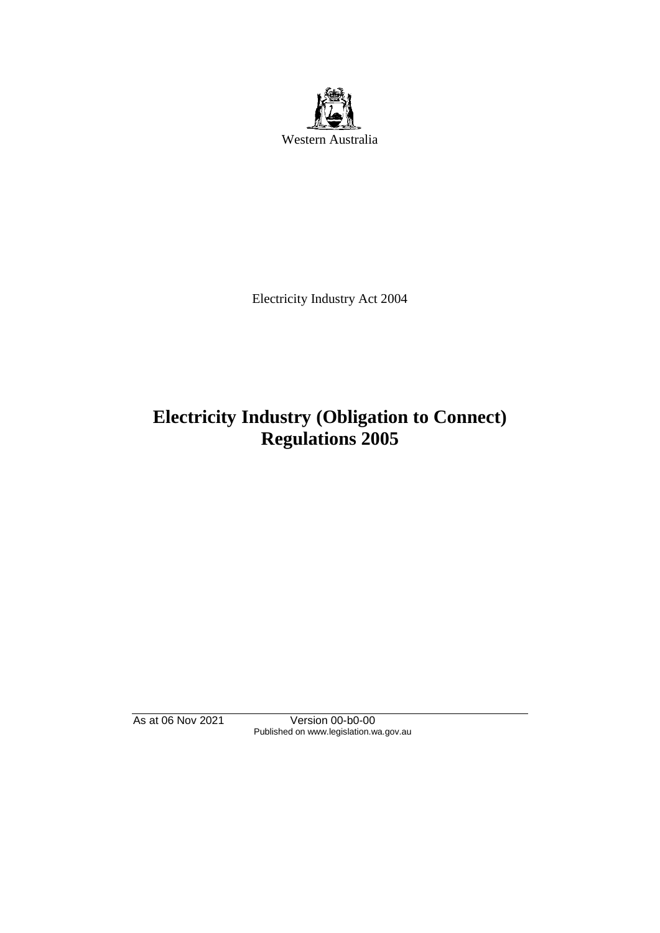

Electricity Industry Act 2004

# **Electricity Industry (Obligation to Connect) Regulations 2005**

As at 06 Nov 2021 Version 00-b0-00 Published on www.legislation.wa.gov.au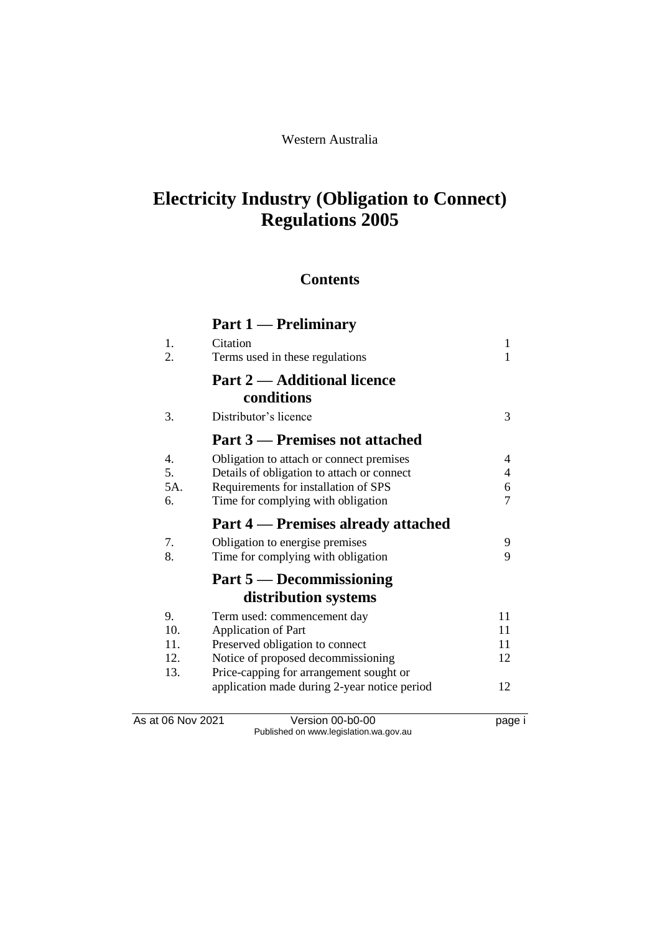# **Electricity Industry (Obligation to Connect) Regulations 2005**

## **Contents**

|          | Part 1 — Preliminary                         |                          |
|----------|----------------------------------------------|--------------------------|
| 1.<br>2. | Citation<br>Terms used in these regulations  | 1<br>$\mathbf{1}$        |
|          | <b>Part 2 — Additional licence</b>           |                          |
|          | conditions                                   |                          |
| 3.       | Distributor's licence                        | 3                        |
|          | Part 3 – Premises not attached               |                          |
| 4.       | Obligation to attach or connect premises     | 4                        |
| 5.       | Details of obligation to attach or connect   | $\overline{\mathcal{L}}$ |
| 5A.      | Requirements for installation of SPS         | 6                        |
| 6.       | Time for complying with obligation           | $\overline{7}$           |
|          | <b>Part 4 – Premises already attached</b>    |                          |
| 7.       | Obligation to energise premises              | 9                        |
| 8.       | Time for complying with obligation           | 9                        |
|          | Part 5 — Decommissioning                     |                          |
|          | distribution systems                         |                          |
| 9.       | Term used: commencement day                  | 11                       |
| 10.      | Application of Part                          | 11                       |
| 11.      | Preserved obligation to connect              | 11                       |
| 12.      | Notice of proposed decommissioning           | 12                       |
| 13.      | Price-capping for arrangement sought or      | 12                       |
|          | application made during 2-year notice period |                          |

As at 06 Nov 2021 Version 00-b0-00 Page i Published on www.legislation.wa.gov.au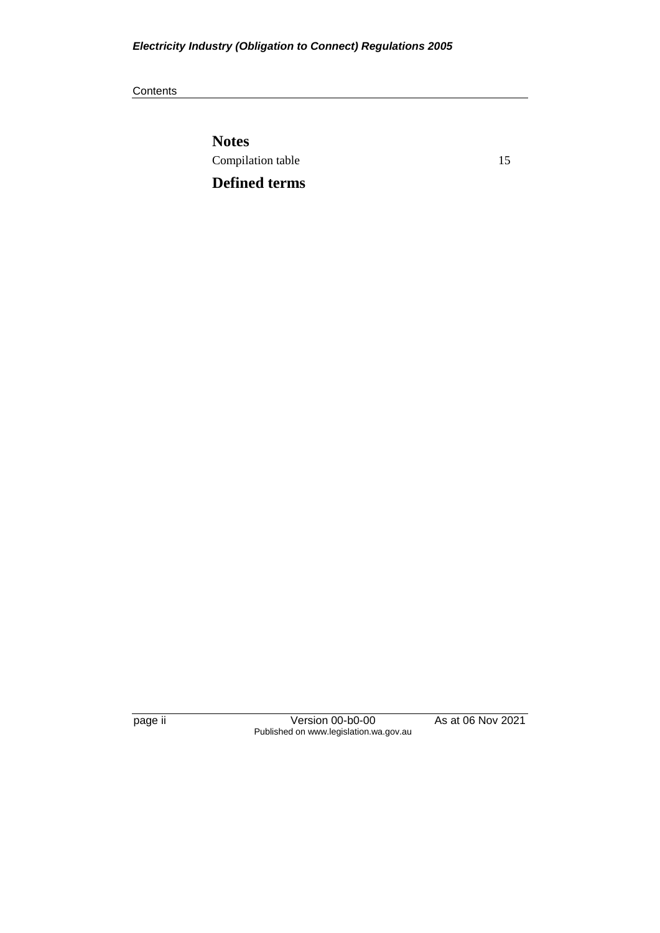#### **Contents**

**Notes** Compilation table 15

**Defined terms**

page ii Version 00-b0-00 As at 06 Nov 2021 Published on www.legislation.wa.gov.au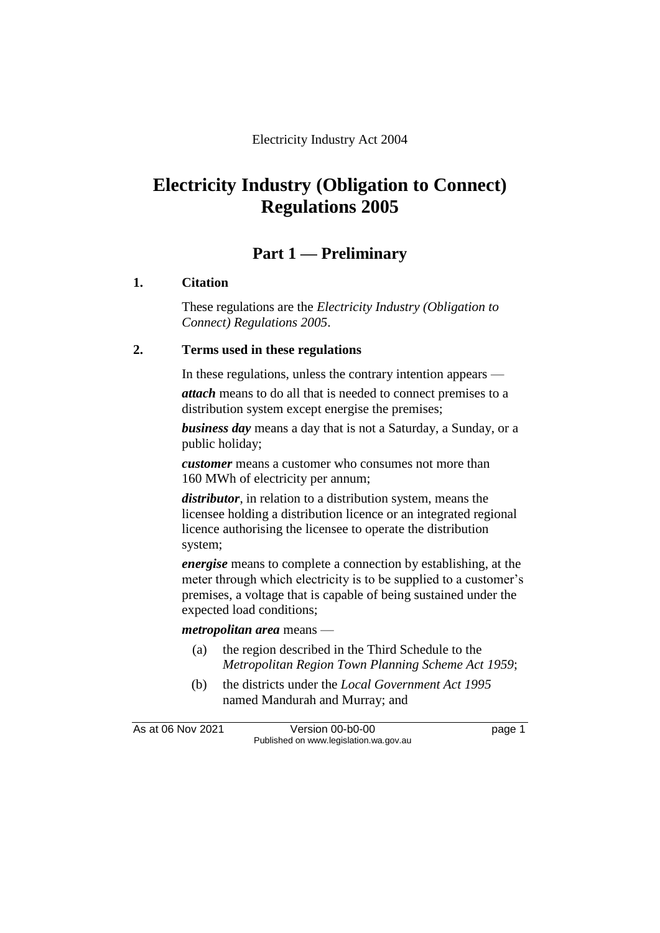# **Electricity Industry (Obligation to Connect) Regulations 2005**

## **Part 1 — Preliminary**

## **1. Citation**

These regulations are the *Electricity Industry (Obligation to Connect) Regulations 2005*.

## **2. Terms used in these regulations**

In these regulations, unless the contrary intention appears —

*attach* means to do all that is needed to connect premises to a distribution system except energise the premises;

*business day* means a day that is not a Saturday, a Sunday, or a public holiday;

*customer* means a customer who consumes not more than 160 MWh of electricity per annum;

*distributor*, in relation to a distribution system, means the licensee holding a distribution licence or an integrated regional licence authorising the licensee to operate the distribution system;

*energise* means to complete a connection by establishing, at the meter through which electricity is to be supplied to a customer's premises, a voltage that is capable of being sustained under the expected load conditions;

### *metropolitan area* means —

- (a) the region described in the Third Schedule to the *Metropolitan Region Town Planning Scheme Act 1959*;
- (b) the districts under the *Local Government Act 1995* named Mandurah and Murray; and

As at 06 Nov 2021 Version 00-b0-00 Page 1 Published on www.legislation.wa.gov.au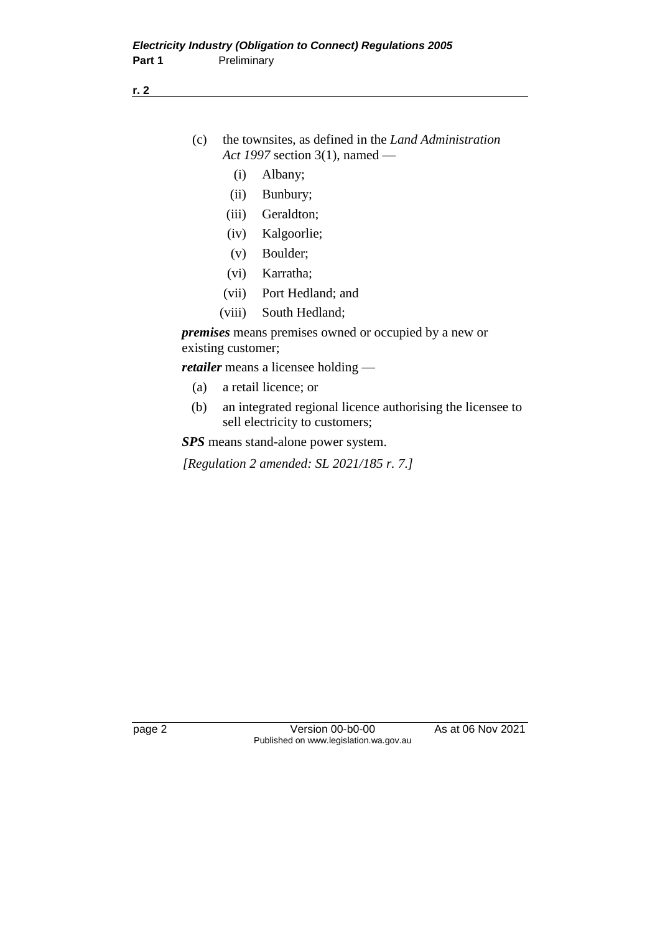- (c) the townsites, as defined in the *Land Administration Act 1997* section 3(1), named —
	- (i) Albany;
	- (ii) Bunbury;
	- (iii) Geraldton;
	- (iv) Kalgoorlie;
	- (v) Boulder;
	- (vi) Karratha;
	- (vii) Port Hedland; and
	- (viii) South Hedland;

*premises* means premises owned or occupied by a new or existing customer;

*retailer* means a licensee holding —

- (a) a retail licence; or
- (b) an integrated regional licence authorising the licensee to sell electricity to customers;

*SPS* means stand-alone power system.

*[Regulation 2 amended: SL 2021/185 r. 7.]*

page 2 Version 00-b0-00 As at 06 Nov 2021 Published on www.legislation.wa.gov.au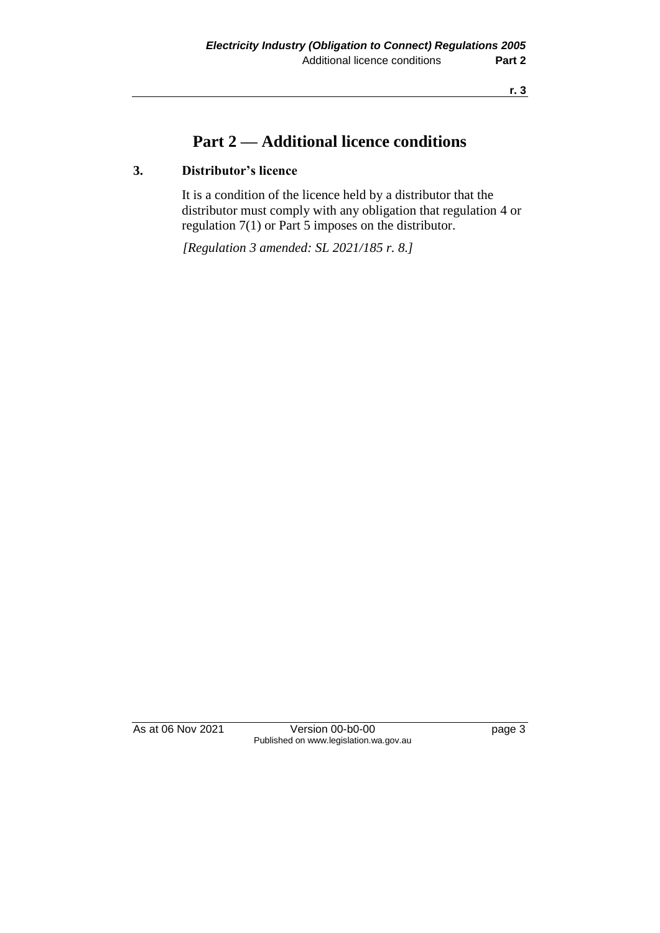## **Part 2 — Additional licence conditions**

## **3. Distributor's licence**

It is a condition of the licence held by a distributor that the distributor must comply with any obligation that regulation 4 or regulation 7(1) or Part 5 imposes on the distributor.

*[Regulation 3 amended: SL 2021/185 r. 8.]*

As at 06 Nov 2021 Version 00-b0-00 Page 3 Published on www.legislation.wa.gov.au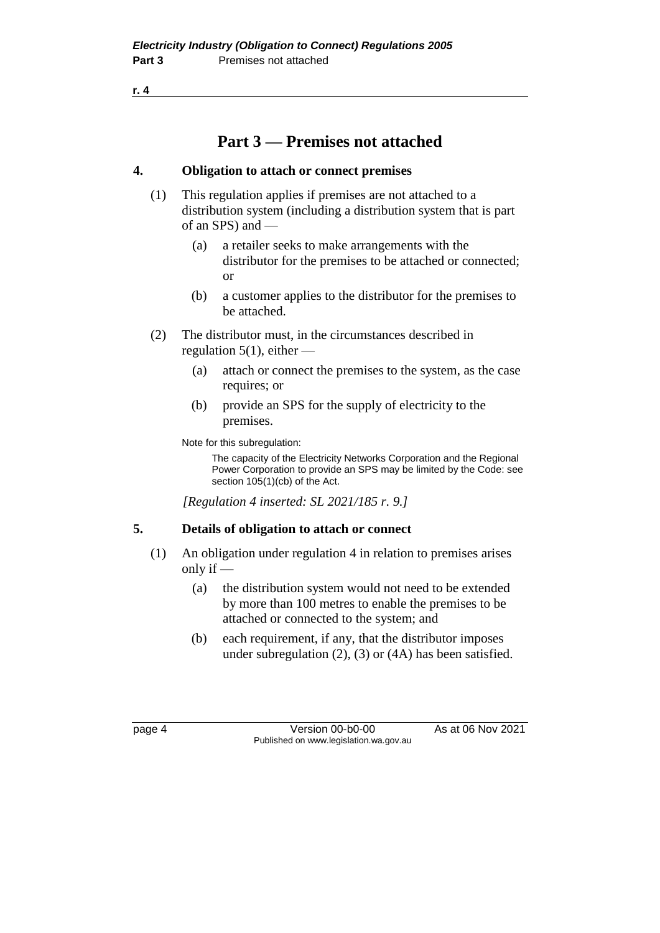## **Part 3 — Premises not attached**

## **4. Obligation to attach or connect premises**

- (1) This regulation applies if premises are not attached to a distribution system (including a distribution system that is part of an SPS) and —
	- (a) a retailer seeks to make arrangements with the distributor for the premises to be attached or connected; or
	- (b) a customer applies to the distributor for the premises to be attached.
- (2) The distributor must, in the circumstances described in regulation 5(1), either —
	- (a) attach or connect the premises to the system, as the case requires; or
	- (b) provide an SPS for the supply of electricity to the premises.

Note for this subregulation:

The capacity of the Electricity Networks Corporation and the Regional Power Corporation to provide an SPS may be limited by the Code: see section 105(1)(cb) of the Act.

*[Regulation 4 inserted: SL 2021/185 r. 9.]*

## **5. Details of obligation to attach or connect**

- (1) An obligation under regulation 4 in relation to premises arises only if  $-$ 
	- (a) the distribution system would not need to be extended by more than 100 metres to enable the premises to be attached or connected to the system; and
	- (b) each requirement, if any, that the distributor imposes under subregulation (2), (3) or (4A) has been satisfied.

page 4 Version 00-b0-00 As at 06 Nov 2021 Published on www.legislation.wa.gov.au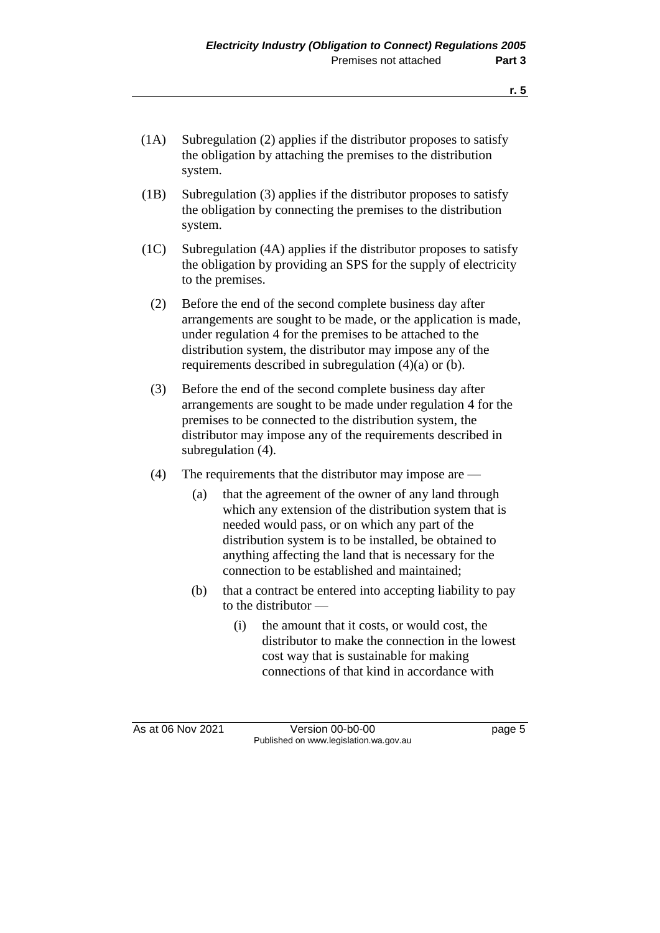- (1B) Subregulation (3) applies if the distributor proposes to satisfy the obligation by connecting the premises to the distribution system.
- (1C) Subregulation (4A) applies if the distributor proposes to satisfy the obligation by providing an SPS for the supply of electricity to the premises.
	- (2) Before the end of the second complete business day after arrangements are sought to be made, or the application is made, under regulation 4 for the premises to be attached to the distribution system, the distributor may impose any of the requirements described in subregulation (4)(a) or (b).
	- (3) Before the end of the second complete business day after arrangements are sought to be made under regulation 4 for the premises to be connected to the distribution system, the distributor may impose any of the requirements described in subregulation (4).
	- (4) The requirements that the distributor may impose are
		- (a) that the agreement of the owner of any land through which any extension of the distribution system that is needed would pass, or on which any part of the distribution system is to be installed, be obtained to anything affecting the land that is necessary for the connection to be established and maintained;
		- (b) that a contract be entered into accepting liability to pay to the distributor —
			- (i) the amount that it costs, or would cost, the distributor to make the connection in the lowest cost way that is sustainable for making connections of that kind in accordance with

As at 06 Nov 2021 Version 00-b0-00 Page 5 Published on www.legislation.wa.gov.au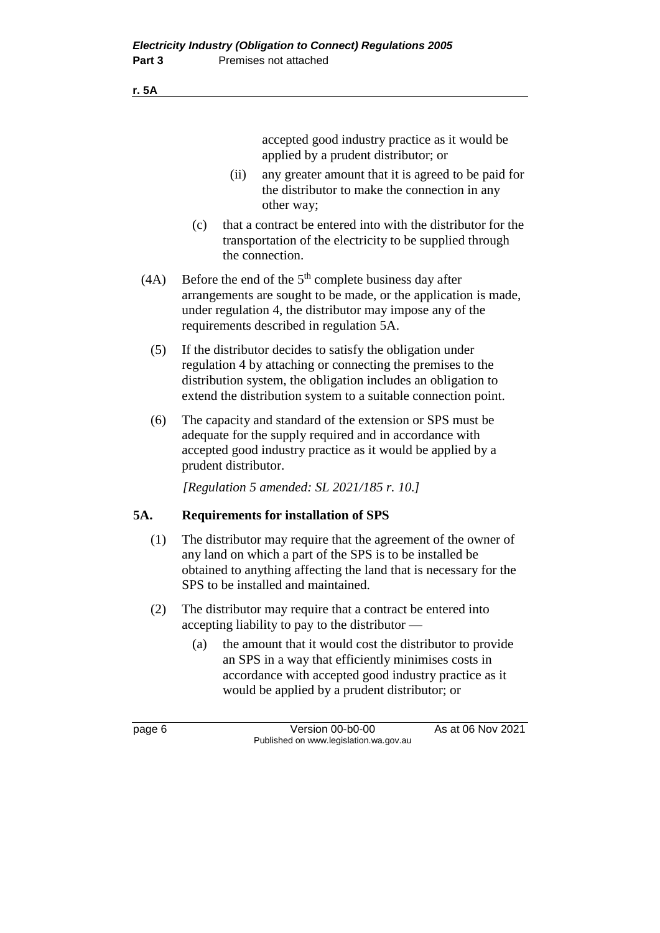#### **r. 5A**

accepted good industry practice as it would be applied by a prudent distributor; or

- (ii) any greater amount that it is agreed to be paid for the distributor to make the connection in any other way;
- (c) that a contract be entered into with the distributor for the transportation of the electricity to be supplied through the connection.
- (4A) Before the end of the  $5<sup>th</sup>$  complete business day after arrangements are sought to be made, or the application is made, under regulation 4, the distributor may impose any of the requirements described in regulation 5A.
	- (5) If the distributor decides to satisfy the obligation under regulation 4 by attaching or connecting the premises to the distribution system, the obligation includes an obligation to extend the distribution system to a suitable connection point.
	- (6) The capacity and standard of the extension or SPS must be adequate for the supply required and in accordance with accepted good industry practice as it would be applied by a prudent distributor.

*[Regulation 5 amended: SL 2021/185 r. 10.]*

### **5A. Requirements for installation of SPS**

- (1) The distributor may require that the agreement of the owner of any land on which a part of the SPS is to be installed be obtained to anything affecting the land that is necessary for the SPS to be installed and maintained.
- (2) The distributor may require that a contract be entered into accepting liability to pay to the distributor —
	- (a) the amount that it would cost the distributor to provide an SPS in a way that efficiently minimises costs in accordance with accepted good industry practice as it would be applied by a prudent distributor; or

page 6 Version 00-b0-00 As at 06 Nov 2021 Published on www.legislation.wa.gov.au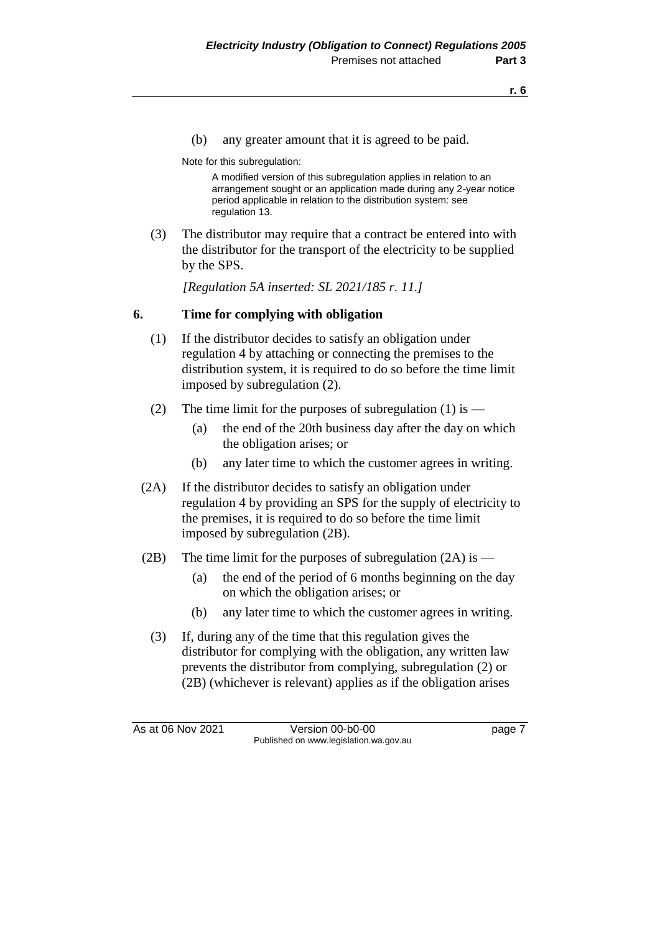(b) any greater amount that it is agreed to be paid.

Note for this subregulation:

A modified version of this subregulation applies in relation to an arrangement sought or an application made during any 2-year notice period applicable in relation to the distribution system: see regulation 13.

(3) The distributor may require that a contract be entered into with the distributor for the transport of the electricity to be supplied by the SPS.

*[Regulation 5A inserted: SL 2021/185 r. 11.]*

### **6. Time for complying with obligation**

- (1) If the distributor decides to satisfy an obligation under regulation 4 by attaching or connecting the premises to the distribution system, it is required to do so before the time limit imposed by subregulation (2).
- (2) The time limit for the purposes of subregulation  $(1)$  is
	- (a) the end of the 20th business day after the day on which the obligation arises; or
	- (b) any later time to which the customer agrees in writing.
- (2A) If the distributor decides to satisfy an obligation under regulation 4 by providing an SPS for the supply of electricity to the premises, it is required to do so before the time limit imposed by subregulation (2B).
- (2B) The time limit for the purposes of subregulation  $(2A)$  is
	- (a) the end of the period of 6 months beginning on the day on which the obligation arises; or
	- (b) any later time to which the customer agrees in writing.
	- (3) If, during any of the time that this regulation gives the distributor for complying with the obligation, any written law prevents the distributor from complying, subregulation (2) or (2B) (whichever is relevant) applies as if the obligation arises

As at 06 Nov 2021 Version 00-b0-00 Page 7 Published on www.legislation.wa.gov.au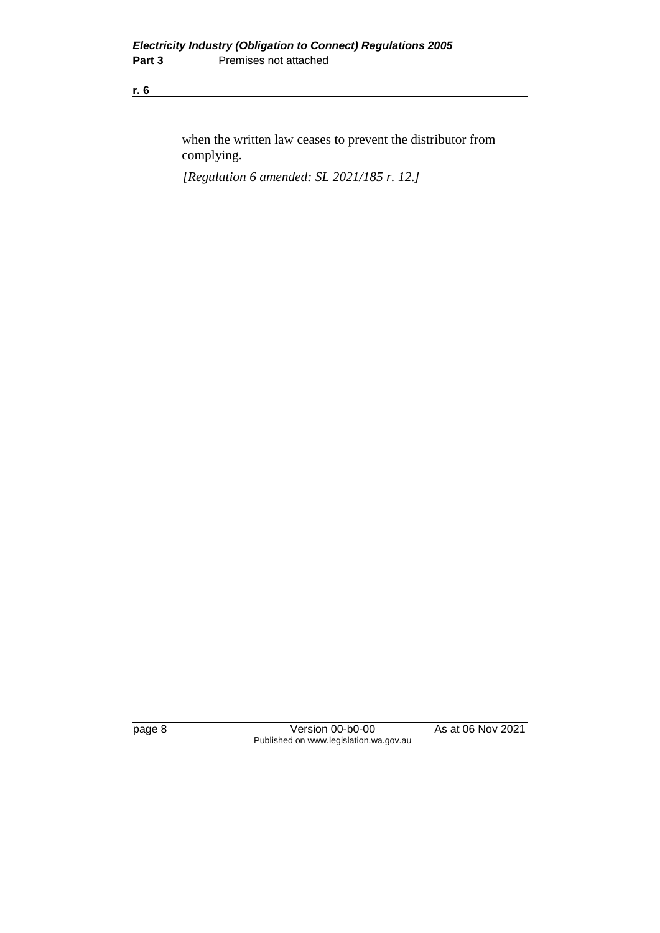when the written law ceases to prevent the distributor from complying.

*[Regulation 6 amended: SL 2021/185 r. 12.]*

page 8 Version 00-b0-00 As at 06 Nov 2021 Published on www.legislation.wa.gov.au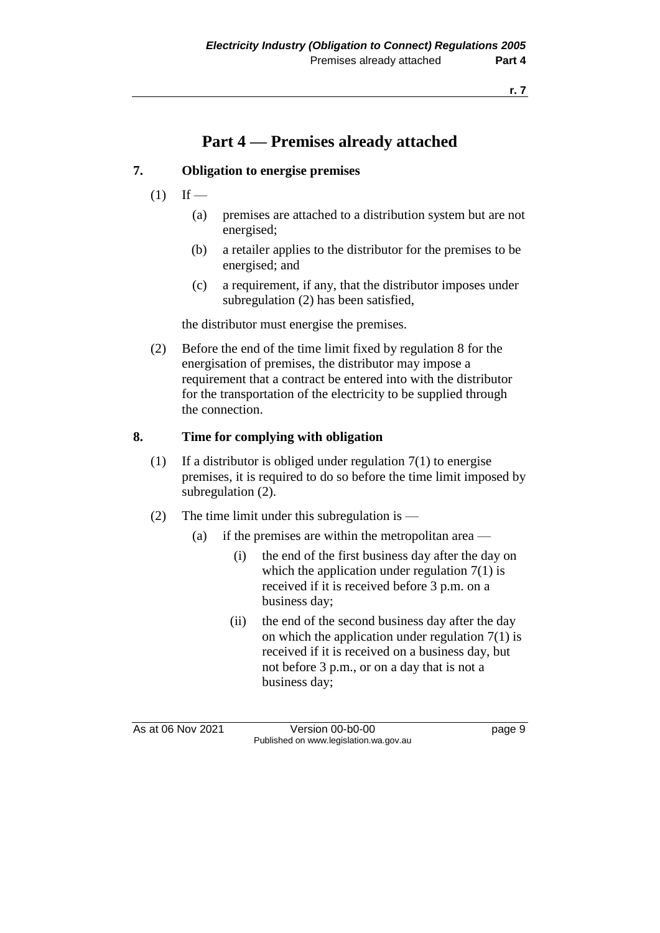## **Part 4 — Premises already attached**

### **7. Obligation to energise premises**

- $(1)$  If
	- (a) premises are attached to a distribution system but are not energised;
	- (b) a retailer applies to the distributor for the premises to be energised; and
	- (c) a requirement, if any, that the distributor imposes under subregulation (2) has been satisfied,

the distributor must energise the premises.

(2) Before the end of the time limit fixed by regulation 8 for the energisation of premises, the distributor may impose a requirement that a contract be entered into with the distributor for the transportation of the electricity to be supplied through the connection.

#### **8. Time for complying with obligation**

- (1) If a distributor is obliged under regulation  $7(1)$  to energise premises, it is required to do so before the time limit imposed by subregulation  $(2)$ .
- (2) The time limit under this subregulation is
	- (a) if the premises are within the metropolitan area
		- (i) the end of the first business day after the day on which the application under regulation  $7(1)$  is received if it is received before 3 p.m. on a business day;
		- (ii) the end of the second business day after the day on which the application under regulation  $7(1)$  is received if it is received on a business day, but not before 3 p.m., or on a day that is not a business day;

As at 06 Nov 2021 Version 00-b0-00 Page 9 Published on www.legislation.wa.gov.au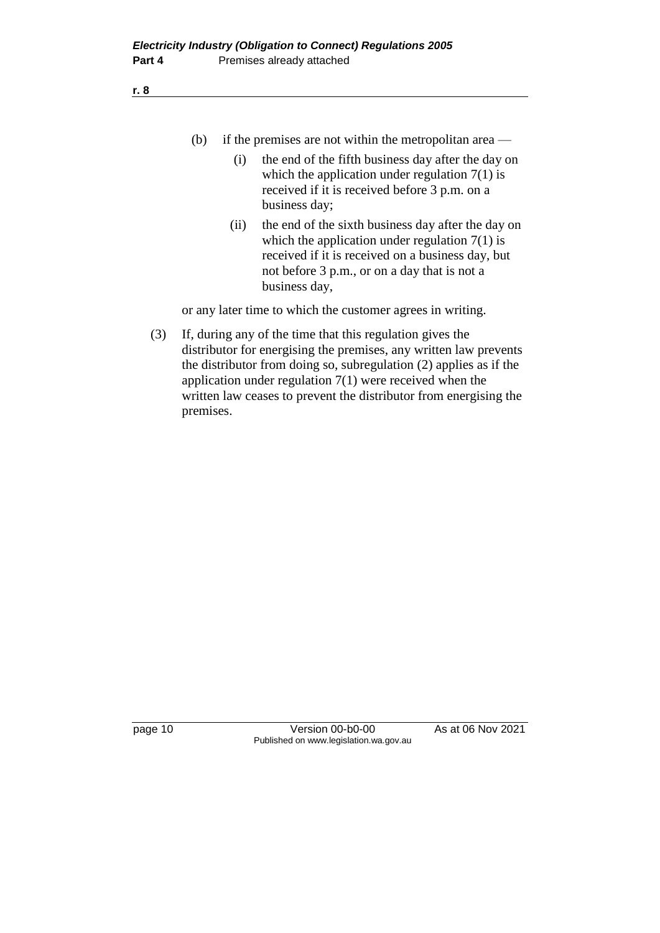- (b) if the premises are not within the metropolitan area
	- (i) the end of the fifth business day after the day on which the application under regulation  $7(1)$  is received if it is received before 3 p.m. on a business day;
	- (ii) the end of the sixth business day after the day on which the application under regulation  $7(1)$  is received if it is received on a business day, but not before 3 p.m., or on a day that is not a business day,

or any later time to which the customer agrees in writing.

(3) If, during any of the time that this regulation gives the distributor for energising the premises, any written law prevents the distributor from doing so, subregulation (2) applies as if the application under regulation 7(1) were received when the written law ceases to prevent the distributor from energising the premises.

page 10 Version 00-b0-00 As at 06 Nov 2021 Published on www.legislation.wa.gov.au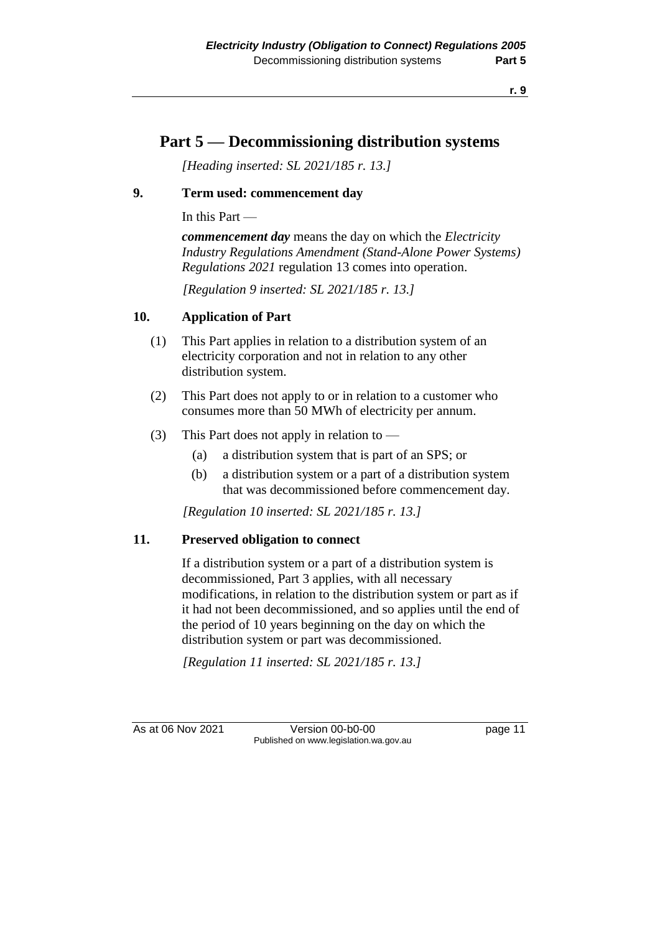## **Part 5 — Decommissioning distribution systems**

*[Heading inserted: SL 2021/185 r. 13.]*

## **9. Term used: commencement day**

In this Part —

*commencement day* means the day on which the *Electricity Industry Regulations Amendment (Stand-Alone Power Systems) Regulations 2021* regulation 13 comes into operation.

*[Regulation 9 inserted: SL 2021/185 r. 13.]*

### **10. Application of Part**

- (1) This Part applies in relation to a distribution system of an electricity corporation and not in relation to any other distribution system.
- (2) This Part does not apply to or in relation to a customer who consumes more than 50 MWh of electricity per annum.
- (3) This Part does not apply in relation to  $-$ 
	- (a) a distribution system that is part of an SPS; or
	- (b) a distribution system or a part of a distribution system that was decommissioned before commencement day.

*[Regulation 10 inserted: SL 2021/185 r. 13.]*

#### **11. Preserved obligation to connect**

If a distribution system or a part of a distribution system is decommissioned, Part 3 applies, with all necessary modifications, in relation to the distribution system or part as if it had not been decommissioned, and so applies until the end of the period of 10 years beginning on the day on which the distribution system or part was decommissioned.

*[Regulation 11 inserted: SL 2021/185 r. 13.]*

As at 06 Nov 2021 Version 00-b0-00 page 11 Published on www.legislation.wa.gov.au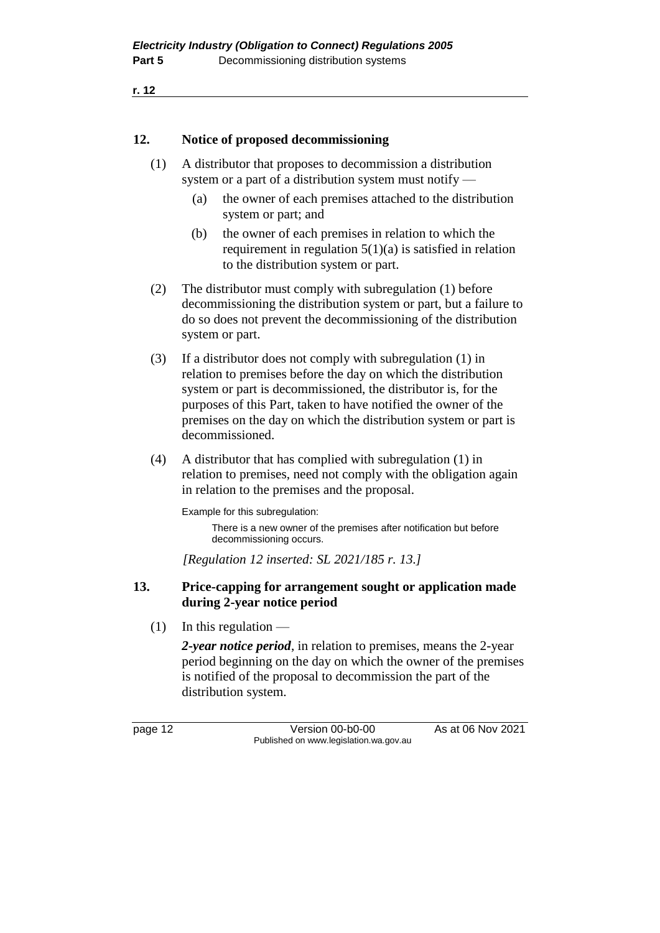```
r. 12
```
### **12. Notice of proposed decommissioning**

- (1) A distributor that proposes to decommission a distribution system or a part of a distribution system must notify —
	- (a) the owner of each premises attached to the distribution system or part; and
	- (b) the owner of each premises in relation to which the requirement in regulation  $5(1)(a)$  is satisfied in relation to the distribution system or part.
- (2) The distributor must comply with subregulation (1) before decommissioning the distribution system or part, but a failure to do so does not prevent the decommissioning of the distribution system or part.
- (3) If a distributor does not comply with subregulation (1) in relation to premises before the day on which the distribution system or part is decommissioned, the distributor is, for the purposes of this Part, taken to have notified the owner of the premises on the day on which the distribution system or part is decommissioned.
- (4) A distributor that has complied with subregulation (1) in relation to premises, need not comply with the obligation again in relation to the premises and the proposal.

Example for this subregulation:

There is a new owner of the premises after notification but before decommissioning occurs.

*[Regulation 12 inserted: SL 2021/185 r. 13.]*

### **13. Price-capping for arrangement sought or application made during 2-year notice period**

 $(1)$  In this regulation —

*2-year notice period*, in relation to premises, means the 2-year period beginning on the day on which the owner of the premises is notified of the proposal to decommission the part of the distribution system.

page 12 Version 00-b0-00 As at 06 Nov 2021 Published on www.legislation.wa.gov.au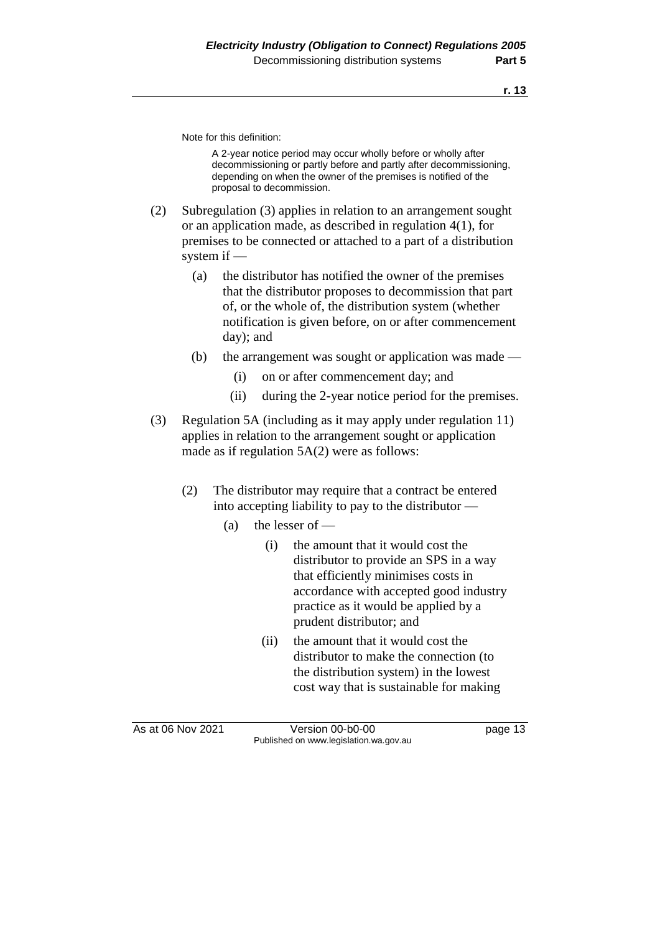Note for this definition:

A 2-year notice period may occur wholly before or wholly after decommissioning or partly before and partly after decommissioning, depending on when the owner of the premises is notified of the proposal to decommission.

- (2) Subregulation (3) applies in relation to an arrangement sought or an application made, as described in regulation 4(1), for premises to be connected or attached to a part of a distribution system if —
	- (a) the distributor has notified the owner of the premises that the distributor proposes to decommission that part of, or the whole of, the distribution system (whether notification is given before, on or after commencement day); and
	- (b) the arrangement was sought or application was made
		- (i) on or after commencement day; and
		- (ii) during the 2-year notice period for the premises.
- (3) Regulation 5A (including as it may apply under regulation 11) applies in relation to the arrangement sought or application made as if regulation 5A(2) were as follows:
	- (2) The distributor may require that a contract be entered into accepting liability to pay to the distributor —
		- (a) the lesser of  $-$ 
			- (i) the amount that it would cost the distributor to provide an SPS in a way that efficiently minimises costs in accordance with accepted good industry practice as it would be applied by a prudent distributor; and
			- (ii) the amount that it would cost the distributor to make the connection (to the distribution system) in the lowest cost way that is sustainable for making

As at 06 Nov 2021 Version 00-b0-00 page 13 Published on www.legislation.wa.gov.au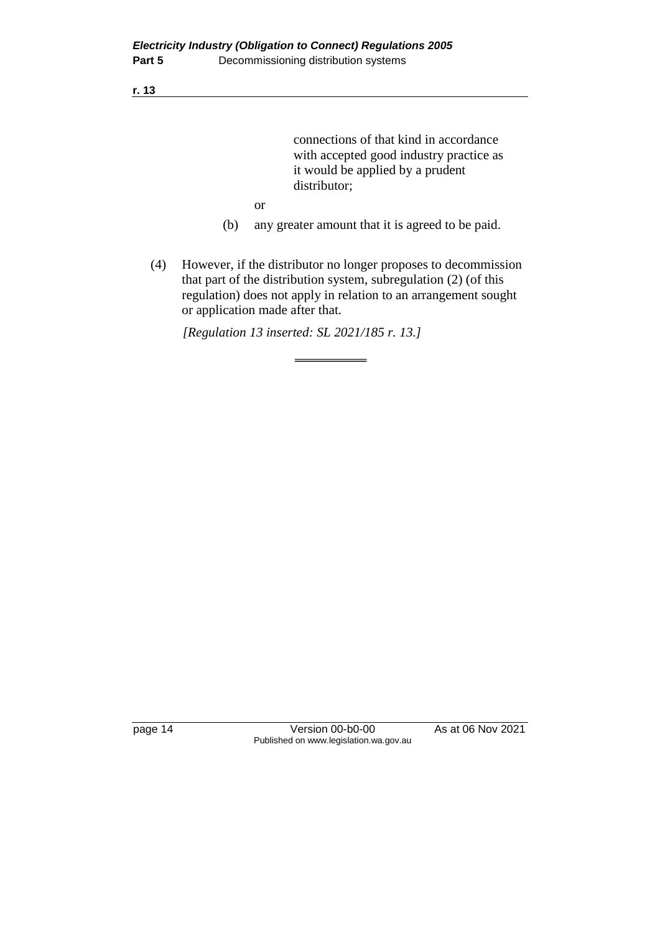connections of that kind in accordance with accepted good industry practice as it would be applied by a prudent distributor;

- or
- (b) any greater amount that it is agreed to be paid.
- (4) However, if the distributor no longer proposes to decommission that part of the distribution system, subregulation (2) (of this regulation) does not apply in relation to an arrangement sought or application made after that.

*[Regulation 13 inserted: SL 2021/185 r. 13.]*

page 14 Version 00-b0-00 As at 06 Nov 2021 Published on www.legislation.wa.gov.au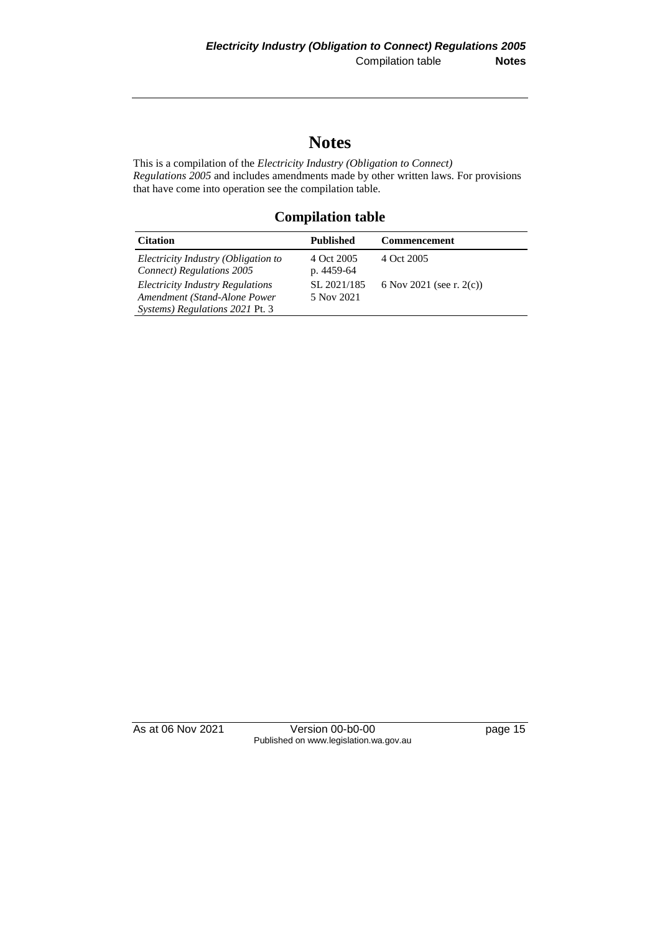## **Notes**

This is a compilation of the *Electricity Industry (Obligation to Connect) Regulations 2005* and includes amendments made by other written laws. For provisions that have come into operation see the compilation table.

## **Compilation table**

| <b>Citation</b>                                                                                      | <b>Published</b>          | <b>Commencement</b>         |
|------------------------------------------------------------------------------------------------------|---------------------------|-----------------------------|
| Electricity Industry (Obligation to<br><b>Connect</b> ) Regulations 2005                             | 4 Oct 2005<br>p. 4459-64  | 4 Oct 2005                  |
| Electricity Industry Regulations<br>Amendment (Stand-Alone Power)<br>Systems) Regulations 2021 Pt. 3 | SL 2021/185<br>5 Nov 2021 | 6 Nov 2021 (see r. $2(c)$ ) |

As at 06 Nov 2021 Version 00-b0-00 page 15 Published on www.legislation.wa.gov.au